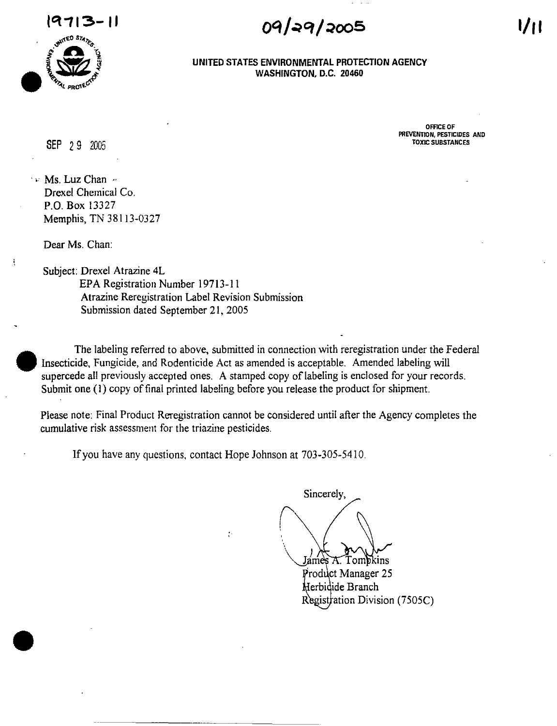

09/29/2005

**OFFICE OF PREVENTION, PESTICIDES AND** TOXIC SUBSTANCES

**UNITED STATES ENVIRONMENTAL PROTECTION AGENCY WASHINGTON,** D.C. **20460** 

## SEP 29 *2005*

 $\sim$  Ms. Luz Chan  $\sim$ Drexel Chemical Co. P.O. Box 13327 Memphis, TN 38113-0327

Dear Ms. Chan:

J

•

Subject: Drexel Atrazine 4L EPA Registration Number 19713-11 Atrazine Reregistration Label Revision Submission Submission dated September 21, 200S

The labeling referred to above, submitted in connection with reregistration under the Federal Insecticide, Fungicide, and Rodenticide Act as amended is acceptable. Amended labeling will supercede all previously accepted ones. A stamped copy of labeling is enclosed for your records. Submit one (I) copy of final printed labeling before you release the product for shipment.

Please note: Final Product Reregistration cannot be considered until after the Agency completes the cumulative risk assessment for the triazine pesticides.

If you have any questions, contact Hope Johnson at 703-305-5410.

 $\ddot{\cdot}$ 

Sincerely, Jámes <del>A</del> Tompkins Product Manager 25

Herbidide Branch Regist $\frac{1}{100}$  Division (7505C)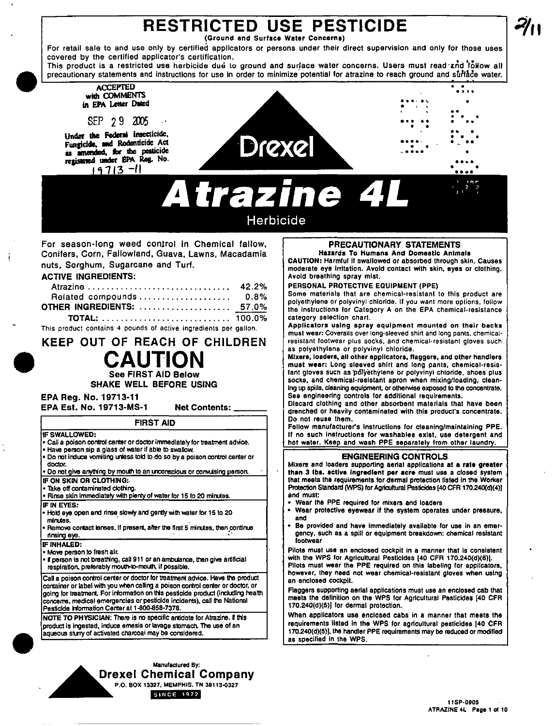# **RESTRICTED USE PESTICIDE**

(Ground and Surface Water Concerns)

For retail sale to and use only by certified applicators or persons under their direct supervision and only for those uses covered by the certified applicator's certification.

This product is a restricted use herbicide due to ground and surface water concerns. Users must read and tokow all precautionary statements and instructions for use in order to minimize potential for atrazine to reach ground and surface water.

### **ACCEPTED** with COMMENTS in EPA Letter Dated

SEP 29 2005

Under the Federal insecticide, Fungicide, and Rodenticide Act as amended, for the pesticide<br>registered under EPA Rog. No.  $19713 - 11$ 



**Atrazine 4** 

# Herbicide

For season-long weed control in Chemical fallow, Conifers, Corn, Fallowland, Guava, Lawns, Macadamia nuts, Sorghum, Sugarcane and Turf.

### **ACTIVE INGREDIENTS:**

| Atrazine  42.2%           |  |
|---------------------------|--|
| Related compounds 0.8%    |  |
| OTHER INGREDIENTS:  57.0% |  |
|                           |  |

This product contains 4 pounds of active ingredients per gallon.

**KEEP OUT OF REACH OF CHILDREN CAUTION** 

**See FIRST AID Below** 

**SHAKE WELL BEFORE USING** 

EPA Rea. No. 19713-11

EPA Est. No. 19713-MS-1

**Net Contents:** 

# **FIRST AID**

- IF SWALLOWED:
- . Call a poison control center or doctor immediately for treatment advice.
- Have person sip a glass of water if able to swallow. . Do not induce vorniting unless told to do so by a poison control center or
- doctor.
- Do not give anything by mouth to an unconscious or convulsing person.
- IF ON SKIN OR CLOTHING:
- Take off contaminated clothing
- Rinse skin immediately with plenty of water for 15 to 20 minutes. **IF IN EYES:**
- Hold eye open and rinse slowly and gently with water for 15 to 20 min.tes.
- Remove contact lenses, if present, after the first 5 minutes, then continue rinsing eye.
- **IF INHALED:**
- . Move person to fresh air.
- . If person is not breathing, call 911 or an ambulance, then give artificial respiration, preferably mouth-to-mouth, if possible.

Call a poison control center or doctor for treatment advice. Have the product container or label with you when calling a poison control center or doctor, or going for treatment. For information on this pesticide product (including health concerns, medical emergencies or pesticide incidents), call the National Pesticide Information Center at 1-800-858-7378.

NOTE TO PHYSICIAN: There is no specific antidote for Atrazine. If this product is ingested, induce emesis or lavage stomach. The use of an aqueous stury of activated charcoal may be considered.



### **PRECAUTIONARY STATEMENTS** Hazards To Humans And Domestic Animals

CAUTION: Harmful if swallowed or absorbed through skin. Causes moderate eye irritation. Avoid contact with skin, eyes or clothing. Avoid breathing spray mist.

PERSONAL PROTECTIVE EQUIPMENT (PPE)

Some materials that are chemical-resistant to this product are polyethylene or polyvinyl chloride. If you want more options, follow the instructions for Category A on the EPA chemical-resistance category selection chart.

Applicators using spray equipment mounted on their backs must wear: Coveralls over long-sleeved shirt and long pants, chemicalresistant footwear plus socks, and chemical resistant gloves such as polyethylene or polyvinyl chloride.

Mixers, loaders, all other applicators, flaggers, and other handlers must wear: Long sleeved shirt and long pants, chemical-resistant gloves such as polyethylene or polyvinyl chloride, shoes plus socks, and chemical-resistant apron when mixing/loading, cleaning up spills, cleaning equipment, or otherwise exposed to the concentrate. See engineering controls for additional requirements.

Discard clothing and other absorbent materials that have been drenched or heavily contaminated with this product's concentrate. Do not reuse them.

Follow manufacturer's instructions for cleaning/maintaining PPE. If no such instructions for washables exist, use detergent and hot water. Keep and wash PPE separately from other laundry.

### **ENGINEERING CONTROLS**

Mixers and loaders supporting aerial applications at a rate greater than 3 lbs. active ingredient per acre must use a closed system that meets the requirements for dermal protection fisted in the Worker Protection Standard (WPS) for Agricultural Pesticides [40 CFR 170.240(d)(4)] and must:

- Wear the PPE required for mixers and loaders
- Wear protective eyewear if the system operates under pressure, and
- Be provided and have immediately available for use in an emergency, such as a spill or equipment breakdown: chemical resistant fontwear

Pilots must use an enclosed cockpit in a manner that is consistent with the WPS for Agricultural Pesticides [40 CFR 170.240(d)(6)]. Pilots must wear the PPE required on this labeling for applicators, however, they need not wear chemical-resistant gloves when using an enclosed cockpit.

Flaggers supporting aerial applications must use an enclosed cab that meets the definition on the WPS for Agricultural Pesticides [40 CFR 170.240(d)(5)] for dermal protection.

When applicators use enclosed cabs in a manner that meets the requirements listed in the WPS for agricultural pesticides [40 CFR 170.240(d)(5)], the handler PPE requirements may be reduced or modified as specified in the WPS.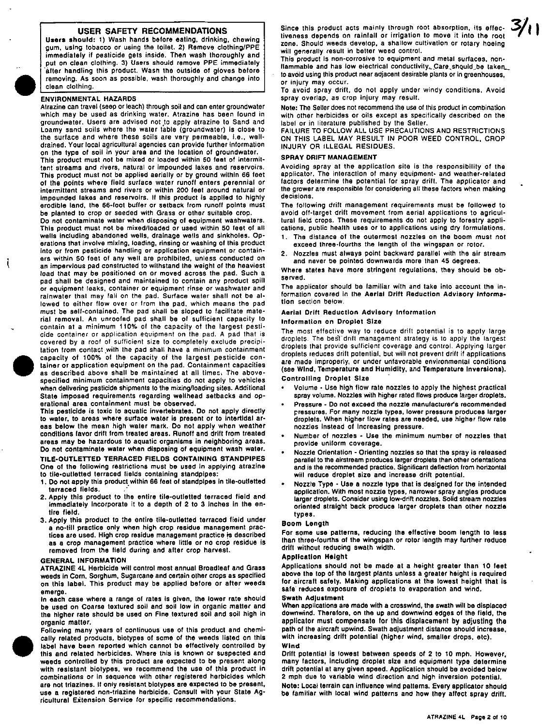### USER SAFETY RECOMMENDATIONS

Users should: 1) Wash hands before eating, drinking, chewing gum, using tobacco or using the loilet. 2) Remove clothing/PPE immediately if pesticide gels inside. Then wash thoroughly and put on clean clothing. 3) Users should remove PPE immediately after handling this product. Wasn the outside of gloves before removing. As soon as possible, wash thoroughly and change into ciean clothing.

#### ENVIRONMENTAL HAZARDS

•

Å

Alrazine can travel (seep or leach) through soil and can enter groundwater which may be used as drinking water. Atrazine has been found in groundwater. Users are advised not to apply atrazine to Sand and Loamy sand soils where the water table (groundwater) is close to the surface and where these soils are very permeable, i.e., welldrained. Your local agricultural agencies can provide further information on the type of soil in your area and the location of groundwater.

This product must not be mixed or loaded within 50 feet of intermittent streams and rivers. natural or impounded lakes and reservoirs. This product must not be applied aerially or by ground within 66 feet of the points where field surface water runoff enters perennial or intermittent streams and rivers or within 200 feet around natural or Impounded lakes and reservoirs. If this product is applied to highly erodible land, the 66-foot buffer or setback from runoff points must be planted to crop or seeded with Grass or other suitable crop.

Do not contaminate water when disposing of equipment washwaters. This product must not be mixed/loaded or used within 50 feet of all wells including abandoned wells, drainage wells and sinkholes. Operations that involve mixing, loading, rinsing or washing of this product into or from pesticide handling or application equipment or containers within 50 feet 01 any well are prohibited, unless conducted on an impervious pad constructed to withstand the weight of the heaviest load that may be positioned on or moved across the pad. Such a pad shall be designed and maintained to contain any product spill or equipment leaks. container or equipment rinse or washwater and rainwater that may fall on the pad. Surface water shall not be allowed to either flow over or from the pad, which means the pad must be self-contained. The pad shall be sloped to facilitate material removal. An unroofed pad shall be of sufficient capacity to contain at a minimum 110% of the capacity at the largest pesticide container or application equipment on the pad. A pad that is covered by a rool 01 sufficient size to completely exclude precipitation from contact with the pad shall have a minimum containment capacity of 100% 01 the capacity of the largest pesticide container or application equipment on the pad. Containment capacities as described above shall be maintained at all times. The abovespecified minimum containment capacities do not apply to vehicles when delivering pesticide shipments to the mixing/loading sites. Additional State imposed requirements regarding wellhead setbacks and operational area containment must be observed.

This pesticide is toxic to aquatic invertebrates. Do not apply directly to water, to areas where surface water is present or to intertidal areas below the mean high water mark, Do not apply when weather conditions favor drift from treated areas. Runoff and drift from treated areas may be hazardous to aquatic organisms in neighboring areas. Do not contaminate water when disposing at equipment wash water. TILE-OUTLETTED TERRACED FIELDS CONTAINING STANDPIPES One ot the following restrictions must be used In applying atrazine to tile-outletted terraced fields containing standpipes:

- 1, Do not apply this product within 66 feet of standpipes in tile-outletted terraced fields.
- 2. Apply this product to the entire tile-outletted terraced field and immediately incorporate it to a depth of 2 to 3 inches in the en-/Ire field.
- 3. Apply this product to the entire tile-outietted terraced field under a no-till practice only when high crop residue management practices are used. High crop residue management practice is described as a crop management practice where little or no crop residue is removed from the field during and after crop harvest.

#### GENERAL INFORMATtON

ATRAZINE 4l Herbicide will control most annual Broadleat and Grass weeds in Corn, Sorghum, Sugarcane and certain other crops as specified on this label. This product may be applied before or after weeds emerge.

In each case where a range of rates is given, the lower rate should be used on Coarse textured soil and soil low in organic matter and the higher rate should be used on Fine textured soil and soil high in organic matter.



Following many years of continuous use of this product and chemically related products. biotypes of some 01 the weeds listed on this label have been reported which cannot be effectively controlled by this and related herbicides. Where this is known or suspected and weeds controlled by this product are expected to be present along with resistant biotypes. we recommend the use of this product in combinations or in sequence with other registered herbicides which are not triazines. If only resistant biotypes are expected to be present, use a registered non-triazine herbicide. Consult with your State Agricultural Extension Service for specific recommendations.

Since this product acts mainly through root absorption, its effective ness depends on rainfall or irrigation to move it into the root zone. Should weeds develop, a shallow cultivation or rotary hoeing will generally result in better weed control.

This product is non-corrosive to equipment and metal surfaces, nonflammable and has low electrical conductivity... Care should be taken... to avoid using this product near adjacent desirable plants or in greenhouses, or injury may occur.

To avoid spray drift. do not apply under windy conditions. Avoid spray overlap, as crop Injury may result.

Nole: The Seller does not recommend the use of this product in combination with other herbicides or oils except as specifically described on the label or in literature published by the Seller.

FAILURE TO FOLLOW ALL USE PRECAUTIONS AND RESTRICTIONS ON THIS LABEL MAY RESULT IN POOR WEED CONTROL. CROP INJURY OR ILLEGAL RESIDUES.

#### SPRAY DRIFT MANAGEMENT

Avoiding spray at the application site is the responsibility of the applicator. The interaction of many equipment- and weather-related factors determine the potential for spray drift. The applicator and the grower are responsible for considering all these factors when making decisions.

The following drift management requirements must be followed to avoid ott-target drift movement from aerial applications to agricultural field crops. These requirements do not apply to forestry applications, public health uses or to applications using dry formulations.

- The distance of the outermost nozzles on the boom must not exceed three-fourths the length of the wingspan or rolor.
- 2. Nozzles must always point backward parallel with the air stream and never be pointed downwards more than 45 degrees.

Where stales have more stringent regulations, they should be observed.

The applicator should be familiar with and take into account the information covered in lhe Aerial Drift Reduction Advisory Information section below.

#### Aerial Drift Reduction Advisory Information Information on Droplet Size

The most effective way to reduce drift potential is to apply large droplets. The besrdrift management strategy is to apply the largest droplets that provide sufficient coverage and control. Applying larger droplets reduces drift potential. but will not prevent drift if applications are made improperly, or under unfavorable environmental conditions (see Wind. Temperature and Humidity. and Temperature Inversions). Controlling Droplet Size

- Volume Use high flow rate nozzles to apply the highest practical spray volume. Nozzles with higher rated flows produce larger droplets.
- Pressure Do not exceed the nozzle manufacturer's recommended pressures. For many nozzle types, lower pressure produces larger droplets. When higher 1I0w rates are needed. use higher flow rate nozzles Instead of increasing pressure.
- Number 01 nozzles Use the minimum number of nozzles that provide uniform coverage.
- Nozzle Orientation Orienting nozzles so thai the spray is released parallel to the airstream produces larger droplets than other orientations and is the recommended practice. Significant deflection from horizontal will reduce droplet size and increase drift potential.
- Nozzte Type Use a nozzle type that is designed for the intended application. With most nozzle types, narrower spray angles produce larger droplets. Consider using low-drift nozzles. Solid stream nozzles oriented straighl back produce larger droplets than other nozzle types.

#### Boom Length

For some use patterns. reducing the effective boom length to less than three-fourths of Ihe wingspan or rolor length may further reduce drift without reducing swath width.

#### **Application Height**

Applications should not be made at a height greater than 10 leet above the top of the largest plants unless a greater haight is required for aircraft safety. Making applications at the lowest height that is safe' reduces exposure of droplets to evaporation and wind.

#### **Swath Adjustment**

When applications are made with a crosswind. the swath will be displaced downwind. Therefore, on the up and downwind edges of the field, the applicator must compensate for this displacement by adjusting the path of the aircraft upwind. Swath adjustment distance should increase. with increasing drift potential (higher wind, smaller drops, etc).

### Wind

Drift potential is lowest between speeds of 2 to 10 mph. However, many laclors. Including droplet size and equipment type determine drift potential at any given speed. Application should be avoided below 2 mph due 10 variable wind direction and high inversion potential.

Note: local terrain can influence wind patterns. Every applicator should be familiar with local wind patterns and how they affect spray drift.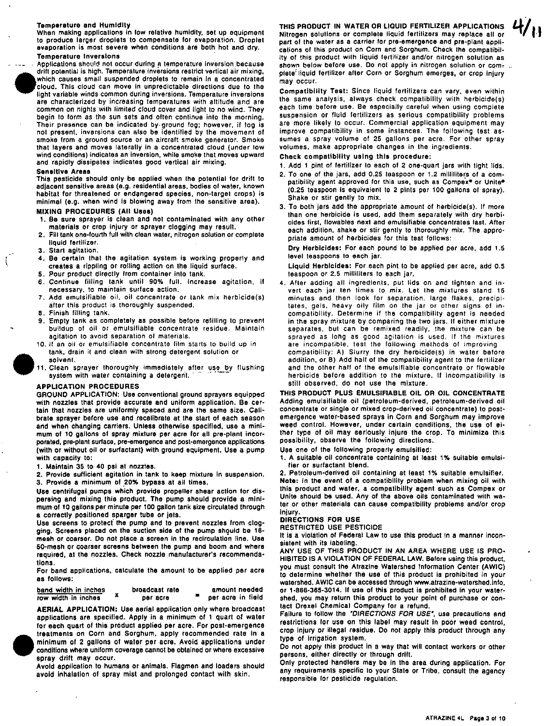#### **Temperature and Humidity**

When making applications in low relative humidity, set up equipment to produce larger droplets to compensate for evaporation. Droplet evaporation is most severe when conditions are both hot and dry. Temperature Inversions .

 $\overline{\phantom{a}}$ 

Applications should not occur during a temperature inversion because drift potential is high. Temperature inversions restrict vertical air mixing, which causes small suspended droplets to remain In a concentrated cloud. This cloud can move in unpredictable directions due to the light variable winds common during inversions. Temperature inversions are characterized by increasing temperatures with altitude and are common on nights with limited cloud cover and light to no wind. They begin to form as the sun sets and often continue into the morning. Their presence can be indicated by ground log; however, if log is not present, inversions can also be identilied by the movement of smoke from a ground source or an aircraft smoke generator, Smoke that layers and moves laterally in a concentrated cloud (under low wind conditions) indicates an inversion, while smoke that moves upward and rapidly dissipates indicates good vertical air mixing.

#### Sensitive Areas

This pesticide should only be applied when the potential for drift to adjacent sensitive areas (e.g. residential areas, bodies 01 water. known habitat for threatened or endangered species, non-target crops) is minimal (e.g. when wind is blowing away from the sensitive area),

### **MIXING PROCEDURES (All Uses)**

- 1. Be sure sprayer is clean and not contaminated with any other male rials or crop injury or sprayer clogging may result.
- 2. Fill tank one-fourth full with clean water, nitrogen solution or complete liquid fertilizer.
- 3. Start agitation.
- 4. Be certain that the agitation system is working properly and creates a rippling or rolling action on the liquid surface.
- 5. Pour product directly Irom container into tank.
- 6. Continue filling tank until 90% full, Increase agitation. if necessary. 10 maintain surface action,
- 7. Add emulsifiable oil. oil concentrate or tank mix herbicide(s) after this product is thoroughly suspended.
- 8. Finish filling tank.
- 9. Empty tank as completely as possible before refilling to prevent buildup of oil or emulsifiable concentrate residue. Maintain agitation to avoid separation 01 materials.
- 10. If an oil or emulsifiable concentrate film starts to build up in tank, drain it and clean with strong detergent solution or 10. If an oil<br>tank, dra<br>solvent.<br>11. Clean s<br>system
	- 11. Clean sprayer thoroughly immediately. after use by flUShing system with water containing a detergent.

#### APPLICATION PROCEDURES

GROUND APPLICATION: Use conventional ground sprayers equipped with nozzles that provide accurate and uniform application. Be certain that nozzles are uniformly spaced and are the same size. Calibrate sprayer before use and recallbrate at the start ot each season and when changing carriers. Unless otherwise specified. use a minimum of 10 gallons of spray mixture per acre for all pre-plant incorporated, pre-plant surfaca, pre·emergence and post·emergence applications (with or without oil or surfactant) with ground equipment. Use a pump with capacity to:

- 1. Maintain 35 to 40 psi at nozzles.
- 2. Provide sufficient agitation in tank to keep mixture In suspension.
- 3. Provide a minimum of 20% bypass at all times.

Use centrifugal pumps which provide propeller shear action for dispersing and mixing this product. The pump should provide a minimum ot 10 gallons per minute per 100 gallon tank size circulated through a correctly positioned sparger tube or jets.

Use screens to protect the pump and to prevent nozzles from clogging. Screens placed on the suction side of the pump shquld be 16 mesh or coarser. Do not place a screen in the recirculation line. Use 50-mesh or coarser screens between the pump and boom and where required. at the nozzles. Check nozzle manufacturer's recommendations.

For band applications, calculate the amount to be applied per acre as tollows:

| band width in inches | broadcast rate | amount needed     |
|----------------------|----------------|-------------------|
| row width in inches  | per acre       | per acre in field |

AERIAL APPLICATION: Use aerial application only where broadcast applications are specilled. Apply in a minimum of 1 quart of water for each quart of this product applied per acre. For post· emergence treatments on Corn and Sorghum, apply recommended rate in 8 applications are specified. Apply in a minimum of 1 quart of water<br>for each quart of this product applied per acre. For post-emergence<br>treatments on Corn and Sorghum, apply recommended rate in a<br>minimum of 2 gallons of wat conditions where uniform coverage cannot be obtained or where excessive spray drift may occur.

Avoid application to humans or animals. Flagmen and loaders should avoid inhalation of spray mist and prolonged contact with skin.

THIS PRODUCT IN WATER OR LlaUID FERTILIZER APPLICATIONS Nitrogen solutions or complete liquid fertilizers may replace all or part of the water as a carrier for pre-emergence and pre·plant appllcations of this product on Corn and Sorghum. Check the compatibil-Ity of this product with liquid fertilizer and/or nitrogen solution as shown below before use. Do not apply in nitrogen solution or complete<sup>f</sup> liquid fertilizer after Corn or Sorghum emerges, or crop injury may occur.

Compatibility Test: Since liquid fertilizers can vary, even within the same analysis, always check compatibility with herbicide(s) each time before use. Be especially careful when using complete suspension or fluid fertilizers as serious compatibility problems are more likely to occur. Commercial application equipment may improve compatibility in some instances. The following test as· sumes a spray volume of 25 gallons per acre. For other spray volumes. make appropriate changes in the ingredients.

Check compatibility using this procedure:

- 1, Add 1 pint of fertilizer to each of 2 one·quart jars with tight lids,
- 2. To one of the jars, add 0.25 teaspoon or 1.2 milliliters of a com· patibility agent approved for this use, such as Compex<sup>®</sup> or Unite® (0,25 teaspoon is equivalent to 2 pints per 100 gallons of spray), Shake or stir gently to mix.
- 3. To both jars add the appropriate amount of herbicide(s). If more than one herbicide is used, add them separately with dry herbi· cides first, flowables next and emulsifiable concentrates last. After each addition, shake or stir gently to thoroughly mix. The appro· priate amount of herbicides for this test follows:

Dry Herbicides: For each pound to be applied per acre, add 1.5 level teaspoons to each jar.

Liquid Herbicides: For each pint to be applied per acre, add 0.5 teaspoon or 2.5 milliliters to each jar.

4. After adding all ingredients, put lids on and tighten and in· vert each jar ten times to mix. Let Ihe mixtures stand 15 minutes and then look for separation. large flakes. precipitates. gels. heavy oily film on the jar or other signs of incompatibility. Determine if the compatibility agent is needed in the spray mixture by comparing the two jars. If either mixture separates, but can be remixed readily. the mixture can be sprayed as long as good agitation is used. If the mixtures are incompatible, test the following methods of improving compatibility: A) Slurry the dry herbicide(s) in water before addition, or 8) Add half of the compatibility agent to the fertilizer and the other half 01 the emulsifiable concentrate or flowable herbicide before addition 10 the mixture. If incompatibility is still observed. do not use the mixture.

THIS PRODUCT PLUS EMULSIFIABLE OIL OR OIL CONCENTRATE Adding emulsifiable oil (petroleum·derived, petroleum·derived oil concentrate or single or mixed crop-derived oil concentrate) to postemergence water-based sprays in Corn and Sorghum may improve weed control. However. under certain conditions, the use of either type of oil may seriously injure the crop. To minimize this possibility, observe the following directions.

Use one of the following properly emulsified:

1. A suitable oil concentrate containing at least 1% suitable emulsifier or surfactant blend.

2. Petroleum·derived oil containing at least 1% suitable emulsifier. Note: In the event of a compatibility problem when mixing oil with this product and water. a compatibility agent such as Compex or Unite should be used. Any ot the above oils contaminated with water or other materials can cause compatibility problems and/or crop injury.

## DIRECTIONS FOR USE

### RESTRICTED USE PESTICIDE

It is a violation of Federal Law to use this product in a manner inconsistent with its labeling.

ANY USE OF THIS PROOUCT IN AN AREA WHERE USE IS PRO· HIBITED IS A VIOLATION OF FEDERAL LAW. Before using this product, you must consult the Alrazine Watershed Information Center (AWIC) to determine whether the use of this product is prohibited in your watershed. AWIC can be accessed through www.atrazine-watershed.info. or 1·866·365·3014, If use of this product is prohibited in your watershed, you may return this product to your point of purchase or contact Drexel Chemical Company for a refund.

Failure to follow the "DIRECTIONS FOR USE", use precautions and restrictions for use on this label may result in poor weed control, crop Injury or illegal residue. Do not apply this product through any type of irrigation system.

Do not apply this product in a way that will contact workers or other persons, either directly or through drift.

Only protected handlers may be in the area during application. For any requirements specific to your State or Tribe, consult the agency responsible for pesticide regulation.

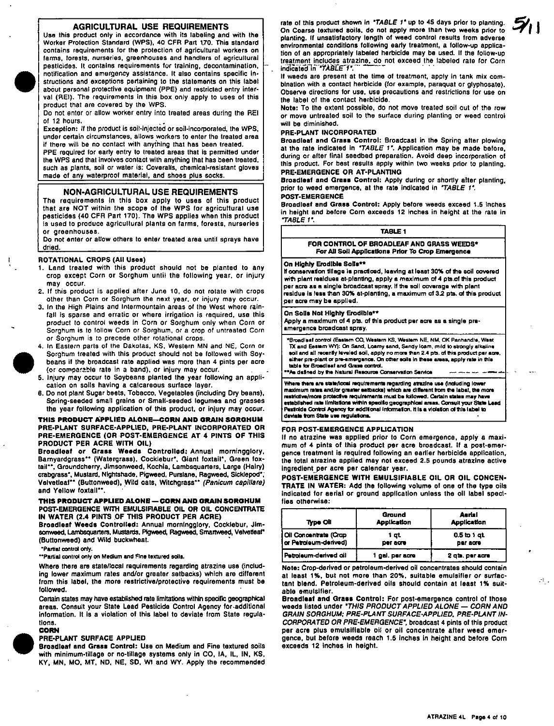### AGRICULTURAL USE REQUIREMENTS

Use this product only in accordance with its labeling and with the Worker Protection Standard (WPS), 40 CFR Pan 1.70. This standard contains requirements for the protection of agricultural workers on farms. lorests, nurseries, greenhouses and handlers of agricultural pesticides. It contains requirements for training, decontamination, notilication and emergency assistance. It also contains specific instructions and exceptions pertaining to the statements on this label about personal protective equipment (PPE) and restricted entry interval (REI). The requirements In this box only apply to uses of this product that are covered by the WPS.

Do not enter or allow worker entry into treated areas during the REI of 12 hours.

Exception: If the product is soil-injected or soil-incorporated, the WPS, under certain circumstances, allows workers to enter the treated area if there will be no conlact with anyfhing that has been treated.

PPE required for early entry to treated areas that is permitted under the WPS and that involves contact with anything that has been treated, such as plants, soil or water is: Coveralls, chemical-resistant gloves made of any waterproof material, and shoes plus socks.

#### NON-AGRICULTURAL USE REQUIREMENTS

The requirements In this box apply to uses of this product that are NOT within the scope of the WPS for agricultural use pesticides (40 CFA Part 170). The WPS applies when this product is used to produce agricultural plants on farms, forests, nurseries or greenhouses.

Do not enter or allow others to enter treated area until sprays have dried.

#### ROTATIONAL CROPS (All Uses)

- 1. Land treated with this product should not be planted to any crop except Corn or Sorghum unlit the following year, or injury may occur.
- 2. If this product is applied after June 10, do not rolate with crops other than Corn or Sorghum the next year. or injury may occur.
- 3. In the High Plains and Intermountain areas of the West where rainfall is sparse and erratic or where irrigation is required, use this product to control weeds in Corn or Sorghum only when Corn or Sorghum is to follow Corn or Sorghum, or a crop of untreated Corn or Sorghum is to precede other rolational crops.
- 4. In Eastern parts of the Dakotas, KS, Weslern MN and NE, Corn or e Sorghum treated with this product should not be followed with Soy-<br>Sorghum treated with this product should not be followed with Soy-<br>beans if the broadcast rate applied was more than 4 pints per acre<br>(or comparable rate beans if the broadcast rate applied was more than 4 pints per acre (or comparable rate in a band), or injury may occur.
	- cation on soils having a calcareous surface layer.
	- 6. Do not plant Sugar beets, Tobacco, Vegetables (including Dry beans), Spring-seeded small grains or Small-seeded legumes and grasses the year following application of this product. or injury may occur.

#### THIS PRODUCT APPLIED ALONE-CORN AND GRAIN SORGHUM PRE-PLANT SURFACE-APPLIED, PRE-PLANT INCORPORATEO OR PRE-EMERGENCE (OR POST-EMERGENCE AT 4 PINTS OF THIS PRODUCT PER ACRE WITH OIL)

Broadleaf or Grass Weeds Controlled: Annual morningglory, Barnyardgrass\*\* (Watergrass), Cocklebur\*, Giant foxtail\*, Green foxtail\*\*, Groundcherry, Jimsonweed, Kochia, Lambsquarters, Large (Hairy) crabgrass", Mustard, Nightshade, Pigweed, Purslane, Ragweed, Sicklepod\* Velvetleaf\*\* (Buttonweed), Wild oats, Witchgrass\*\* (Panicum capillare) and Yellow foxtail\*\*.

#### THIS PRODUCT APPLIED ALONE — CORN AND GRAIN SORGHUM POST-EMERGENCE WITH EMULSIFIABLE OIL OR OIL CONCENTRATE IN WATER (2.4 PINTS OF THIS PRODUCT PER ACRE)

Broadleaf Weeds Controlled: Annual morningglory, Cocklebur, Jim-<br>sonweed, Lambsquarters, Mustards, Pigweed, Ragweed, Smartweed, Velvetfeaf\* (Buttonweed) and Wild buckwheat.

·Partlal control only.

··Partlal control only on Medium and FIne textured soils.

Where there are statellocal requirements regarding atrazine use (Including lower maximum rates andlor greater setbacks) which are different from this label, the more restrictive/protective requirements must be followed.

Certain states may have established rate limitations within specific geographical areas. Consult your State Lead Pesticide Control Agency for .addltlonal Information. It is a violation of this label to deviate from State regulations.

#### CORN

#### PRE-PLANT SURFACE APPUED

Broadleaf and Grass Control: Use on Medium and Fine textured soils with minimum-tillage or no-tillage systems only in CO, IA, IL, IN, KS, KY, MN, MO, MT, NO, NE, SO, WI and WV. Apply the recommended rate of this product shown in **"TABLE 1"** up to 45 days prior to planting. On Coarse textured soils, do not apply more than two weeks prior to planting. If unsatisfactory length of weed control results from adverse environmental conditions fallowing early treatment, a follow-up application of an appropriately labeled herbicide may be used. If the follow-up treatment includes atrazine, do not exceed the labeled rate for Corn<br>indicated in "TABLE 1":

If weeds are present at the time of treatment, apply in tank mix combination with a contact herbicide (lor example, paraquat or glyphosate). Observe directions for use, use precautions and restrictions for use on the label of the contact herbicide.

Note: To the extent possible, do not move treated soil out of the row or move untreated soil to the surface during planting or weed control will be diminished.

#### PRE-PLANT INCORPORATED

Broadleaf and Grass Control: Broadcast in the Spring after plowing at the rate indicated in *'TABLE 1'*. Application may be made before, during or atter final seedbed preparation. Avoid deep incorporation of this product. For best results apply within two weeks prior to planting. PRE-EMERGENCE OR AT-PLANTING

#### Broadleaf and Grass Control: Apply during or shortly after planting, prior to weed emergence, at the rate indicated in **"TABLE** 1". POST-EMERGENCE

Broadleaf and Grass Control: Apply before weeds exceed 1.5 inches

in height and betore Corn exceeds 12 Inches in height at the rate in "TABLE I'

|                                                                                                | TABLE 1 |  |
|------------------------------------------------------------------------------------------------|---------|--|
| FOR CONTROL OF BROADLEAF AND GRASS WEEDS*<br>For All Soil Applications Prior To Crop Emergence |         |  |

#### On Highly Erodible Solls \*\*

If conservation tillage is practiced, leaving at least 30% of the soil covered with plant realdues at-planting, apply a maximum of 4 pts.of this product per acre as a single broadcast spray. If the soil coverage with plant residue is less than 30% at-planting, a maximum of 3.2 pts. of this product per acre may ba applJed.

#### On Solis Not Highly Erodible\*\*

Apply a maximum of 4 pts. of this product per acre as a single preemergence broadcast spray,

"SlQadl.af (X)nll"oI (Eastern co. w.stem KS. vv.shlm NE. NM, OK Panhandle. w.st TX and Eas.m WY): On Sand. Loamy sand, Sandy loam, m,ld 10 strongly alkalina soil and all recently leveled soil, apply no more than 2.4 pts. of this product per acre. will the american received with a plant to make their gives or the product put we<br>alther pre-plant or pre-amergance. On other soils in these areas, apply rate in this table for Broadleaf and Grass control. As datined by the Natural Resource Conservation Service

\there there are state/local requirements regarding atrazine use (including lower maximum rates and/or greater setbacks) which are different from the labe!, the more<br>restrictive/more protective requirements must be followed. Certain states may have<br>established rate limitations within specific geographic Pestolde Control Agency for additional information. It is a violation of this label to daviate from State use regulations.

#### FOR POST-EMERGENCE APPUCATION

If no atrazine was applied prior to Corn emergence, apply a maximum of 4 pints of this product per acre broadcast. If a post-emergence treatment is required following an earlier herbicide application, the total atrazlne applied may not exceed 2,5 pounds atrazine active ingredient per acre per calendar year.

POST-EMERGENCE WITH EMULSIFIABLE OIL OR OIL CONCEN-TRATE IN WATER: Add the following volume at one of the type oils indicated for aerial or ground application unless the oil label specifies otherwise:

| <b>Type Oli</b>                                | Ground<br><b>Application</b> | Aerial<br><b>Application</b> |
|------------------------------------------------|------------------------------|------------------------------|
| Oil Concentrate (Crop<br>or Petroleum-derived) | 1 at<br>per acro             | $0.5$ to 1 at<br>per acre    |
| Petroleum-derived oil                          | 1 gal. per acre              | 2 qts. per scrs              |

Note: Crop-derived or patroleum-derived oil concentrates should contain at least 1%, but not more than 20%, suitable emulsifier or surfactant blend. Petroleum-derived oils should contain at least 1% suitable emulsifier.

Broadleaf and Grass Control: For post-emergence control of those weeds listed under "THIS PRODUCT APPLIED ALONE - CORN AND GRAIN SORGHUM; PRE-PLANT SURFACE·APPLlED, PRE-PLANT IN-CORPORATED OR PRE-EMERGENCE", broadcast 4 pints 01 this product per acre plus emulsifiable oil or oil concentrate after weed emergence. but before weeds reach 1.5 InChes In height and before Corn exceeds 12 inches in height.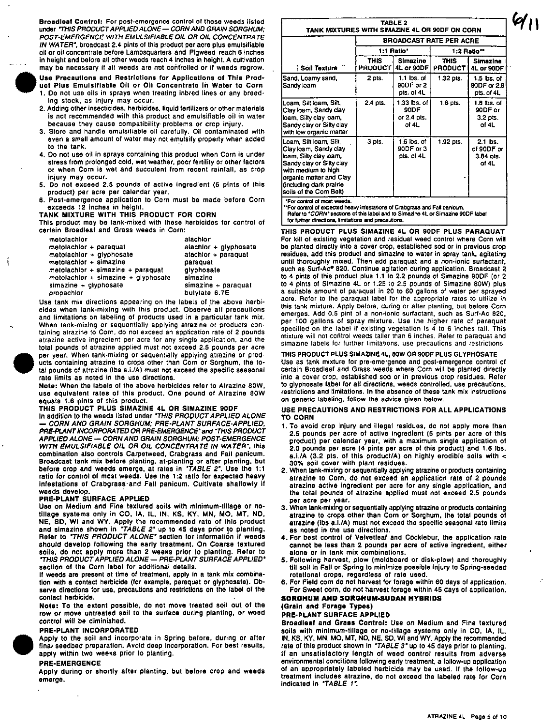Broadleaf Control: For post-emergence control of those weeds listed under 'THIS PRODUCT APPLIED ALONE - CORN AND GRAIN SORGHUM; POST-EMERGENCE WITH EMULSIFIABLE OIL OR OIL CONCENTRA TE IN WATER-, broadcast 2.4 pints of this product per acre pius emulsifiable oil or oil concentrate belore Lambsquarters and Pigweed reach 6 Inches in height and before all other weeds reach 4 inches in height. A cultivation



 $\mathfrak{g}$ 

Use Precautions and Restrictions for Applications of This Product Plus Emulsifiable Oil or Oil Concentrate in Water to Corn 1. 00 not use oils in sprays when treating Inbred lines or any breeding stock, as injury may occur.

- 2. Adding other insecticides, herbicides, liquid fertilizers or other materials is nol recommended with this product and emulsifiable oil in water because they cause compatibility' problems or crop injury.
- 3. Store and handle emulsifiable oil carefully. Oil contaminated with even a small amount of water may not emulsify properly when added to the tank.
- 4. 00 not use oil in sprays containing this product when Corn is under stress from prolonged cold, wet weather, poor fertility or other factors or when Corn is wet and succulent Irom recent rainlall, as crop injury may occur.
- 5. Do not exceed 2.5 pounds of active ingredient (5 pints of this product) per acre per calendar year.
- 6. Post-emergence application to Corn must be made before Corn exceeds 12 Inches in heigh!.

# TANK MIXTURE WITH THIS PRODUCT FOR CORN

This product may be tank-mixed with these herbicides for control of certain Broadleaf and Grass weeds in Corn:

| alachlor              |
|-----------------------|
| alachior + glyphosate |
| atachior + paraquat   |
| paraquat              |
| givphosate            |
| simazine              |
| simazine + paraquat   |
| butylate 6.7E         |
|                       |

atraz<br>
total<br>
per<br>
ucts<br>
tal p<br>
rate<br>
Note<br>
use<br>
use Use tank mix directions appearing on the labels of the above herbicides when tank-mixing with this product. Observe all precautions and limitations on labeling of products used in a particular lank mix. When tank·mixing or sequentially applying alrazine or products containing alrazine 10 Corn. do not exceed an application rate 01 2 pounds atrazine active ingredient per acre for any single application. and the tolal pounds of atrazine applied must not exceed 2.5 pounds per acre per year. When tank·mixing or sequentially applying atrazine or prod· ucts containing atrazine to crops other than Corn or Sorghum, the 10 tal pounds of atrazine (Ibs a.i./A) must not exceed the specific seasonal rate limits as noted in the use directions.

Note: When the labels 01 the above herbicides refer to Atrazine 80W. use equivalent rates of this product. One pound of Alrazine 80W equals 1.6 pints of this product.

THIS PRODUCT PLUS SIMAZINE 4L OR SIMAZINE 90DF<br>In addition to the weeds listed under *"THIS PRODUCT APPLIED ALONE* CORN AND GRAIN SORGHUM; PRE-PLANT SURFACE-APPLIED, PRE-PLANT INCORPORA TED OR PRE-EMERGENCE' and 'THIS PROOUCT APPLIED ALONE - CORN AND GRAIN SORGHUM; POST-EMERGENCE WITH EMULSIFIABLE OIL OR OIL CONCENTRATE IN WATER", this combination also controls Carpetweed. Crabgrass and Fall panicum. Broadcast tank mix before planting, at-planting or after planting, but<br>before crop and weeds emerge, at rates in *"TABLE 2"*. Use the 1:1 ratio for control of most weeds. Use the 1:2 ratio for expected heavy infestations of Crabgrass and Fall panicum. Cultivate shallowly if weeds develop.

#### PRE-PLANT SURFACE APPLIED

Usa on Medium and Fine textured soils with minimum-tillage or no· tillage systems only in CO, IA, IL, IN, KS, KY, MN, MO, MT, ND, NE, SD. WI and WV. Apply the recommended rate of this product and slmazine shown in "TABLE 2" up to 45 days prior to planting. Refer to *"THIS PRODUCT ALONE"* section for information if weeds should develop following the early treatment. On Coarse textured soils, do not apply more than 2 weeks prior to planting. Refer to "THIS PRODUCT APPLIED ALONE — PRE-PLANT SURFACE APPLIED" section of the Corn label for additional details.

If weeds are present at time of treatment, apply in a tank mix combination with a contact herbicide (for example, paraquat or glyphosate). Ob· serve directions for use, precautions and restrictions on the label of the contact herbicide.

Note: To the extent possible, do not move treated soil out of the row or move untreated soil to the surface during planting, or weed control will be diminished.

#### PRE-PLANT INCORPORATED

eont<br>
PRE<br>
App<br>
final<br>
appl<br>
PRE<br>
Appl<br>
eme Apply to the soil and incorporate in Spring before. during or after final seedbed preparation. Avoid deep incorporation. For best results, apply within two weeks prior to planting.

#### PRE-EMERGENCE

Apply during or shortly after planting, but before crop and weeds emerge.

| TANK MIXTURES WITH SIMAZINE 4L OR 90DF ON CORN                                                                                                                                                                |                                |                                             |                        |                                                |  |
|---------------------------------------------------------------------------------------------------------------------------------------------------------------------------------------------------------------|--------------------------------|---------------------------------------------|------------------------|------------------------------------------------|--|
|                                                                                                                                                                                                               | <b>BROADCAST RATE PER ACRE</b> |                                             |                        |                                                |  |
|                                                                                                                                                                                                               |                                | 1:1 Ratio*                                  | 1:2 Ratio**            |                                                |  |
| Soil Texture                                                                                                                                                                                                  | THIS .<br><b>PRODUCT</b>       | Simazine<br>4L or 90DF                      | <b>THIS</b><br>PRODUCT | Simazine<br>4L or 90DF                         |  |
| Sand, Loamy sand,<br>Sandy loam                                                                                                                                                                               | 2 pts.                         | 1.1 lbs. of<br>90DF or 2<br>pts. of 4L      | 1.32 pts.              | $1.5$ lbs. of<br>90DF or 2.6<br>pts. of 4L     |  |
| Loam. Silt Ioam. Silt.<br>Clay loam, Sandy clay<br>loam. Silty clay loam.<br>Sandy clay or Silty clay<br>with low organic matter                                                                              | 2.4 pts.                       | 1.33 bs. of<br>90DF<br>or 2.4 pts.<br>of 4L | $1.6$ pts.             | 1.B lbs. of<br>90DF or<br>$3.2$ pts.<br>of 41. |  |
| Loam. Silt loam. Silt,<br>Clay loam, Sandy clay<br>loam, Silty clay loam,<br>Sandy clay or Silty clay<br>with medium to high<br>organic matter and Clay<br>(including dark prairie<br>Isoils of the Com Belt) | 3 pts.                         | 1 6 ibs. of<br>90DF or 3<br>pts, of 4L      | 1.92 pts.              | $2.1$ lbs.<br>of 90DF or<br>3.84 pts.<br>of 4L |  |

TABLE 2

'For COftrOI of most weeds.

Ł

For control of expected heavy infestations of Crabgrass and Fall panlcum Refer to "CORN" sections of this label and to Simazine 4L or Simazine 90DF label for further directions, limitations and precautions.

#### THIS PRODUCT PLUS SIMAZINE 4L OR 90DF PLUS PARAQUAT For kill of existing vegetation and residual weed control where Corn will be planted directly into a cover crop. established sod or in previous crop residues, add this product and simazine to water in spray tank, agitating until thoroughly mixed. Then add paraquat and a non-ionic surfactant, such as Surf-Ac<sup>®</sup> 820. Continue agitation during application. Broadcast 2 10 4 pints of this product plus 1.1 to 2.2 pounds of Simazine 900F (or 2 to 4 pints of Simazine 4L or 1.25 to 2.5 pounds of Simazine 80W) plus a suitable amount of paraquat in 20 to SO gallons of waler per sprayed acre. Refer to the paraquat label for the appropriate rates to utilize in this tank mixture. Apply before, during or alter planting, but before Corn emerges. Add 0.5 pint 01 a non-ionic surfactant. such as Surf-Ac 820, per 100 gallons of spray mixture. Use the higher rate of paraquat specified on the label if existing vegetation is 4 to S inches tall. This mixture will not control weeds taller than 6 inches. Refer to paraquat and simazine labels for further limitations. use precautions and restrictions.

#### THIS PRODUCT PLUS SIMAZINE 4L, BOW OR 90DF PLUS GLYPHOSATE

Use as tank mixture for pre-emergence and post-emergence control of certain Broadleaf and Grass weeds where Corn will be planted directly into a cover crop, established sod or in previous crop residues. Refer to glyphosate label lor all directions, weeds controlled, use precautions, restrictions and limitations. In the absence of these tank mix instructions on generic labeling. follow the advice given below.

#### USE PRECAUTIONS AND RESTRICTIONS FOR ALL APPLICATIONS TO CORN

- 1. To avoid crop Injury and illegal residues, do not apply more than 2.5 pounds per acre of active ingredient (5 pints per acre of this product) per calendar year, with a maximum single application of 2.0 pounds per acre (4 pints per acre of this product) and 1.6 Ibs. a.i./A (3.2 pts. of this product/A) on highly erodible soils with  $<$ 30% soil cover with plant residues.
- 2. When tank-mixing or sequentially applying atrazine or products containing atrazlne to Corn, do not exceed an application rate of 2 pounds atrazine active ingredient per acre for any single application, and the total pounds of atrazine applied must not exceed 2.5 pounds per acre per year.
- 3. When tank-mixing or sequentially applying atrazine or products containing atrazine to crops other than Corn or Sorghum, the total pounds of atrazine (Ibs a.i./A) must not exceed the specific seasonal rate limits as noted in the use directions.
- 4. For best control of Velvetleaf and Cocklebur, the application rate cannot be less than 2 pounds per acre of active ingredient, either alone or in tank mix combinations.
- 5. Following harvest, plow (moldboard or disk-plow) and thoroughly till soil In Fall or Spring to minimize possible injury to Spring-seeded rotational crops, regardless of rate used.
- 6. For Field corn do not harvest for forage within 60 days of application. For Sweet corn, do not harvest forage within 45 days 01 application.

### SORGHUM AND SDRGHUM-SUDAN HYBRIDS (Grain and Forage Types)

### PRE-PLANT SURFACE APPLIED

Broadleaf and Grass Control: Use on Medium and Fine textured soils with minimum·tillage or no-lillage systems only in CO, lA, Il • IN, KS, KY. MN, MO, MT, NO, NE. SD, WI and WY. Apply the recommended rate of this product shown in "TABLE 3" up to 45 days prior to planting. If an unsatisfactory length of weed control results from adverse environmental conditions following early treatment, a follow-up application of an appropriately labeled herbicide may be used. If the follow-up treatment includes atrazine. do not exceed the labeled rate for Corn indicated in "TABLE 1".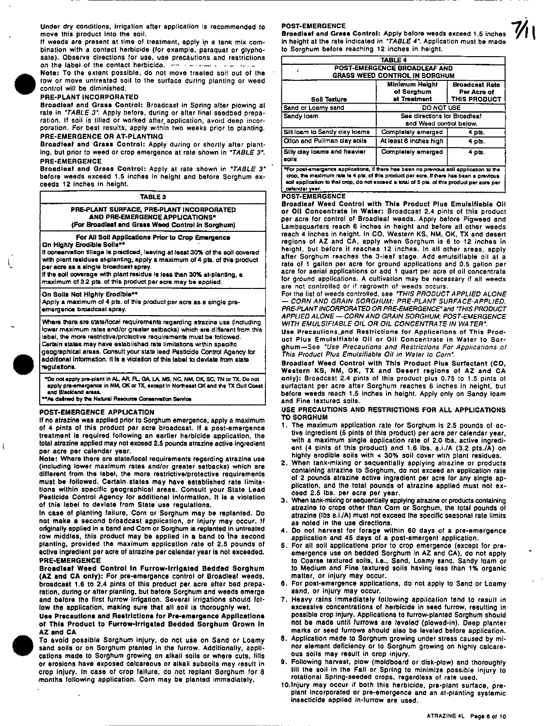Under dry conditions. irrigation after application is recommended to move this product into the soil.

If weeds are present at time of treatment, apply in a tank mix combination with a contact herbicide (lor example, paraquat or glyphosate). Observe directions for use, use precautions and restrictions on the label of the contact herbicide.  $\cdots$  ....... ,

Note: To the extent possible. do not move treated soli out of the row or move untreated soil to the surface during planting or weed control will be diminished.

#### PRE-PLANT INCORPORATED

Broadleaf and Grass Control: Broadcast in Spring after plowing at rate in "TABLE 3", Apply before. during or alter final seedbed preparation. If soil is tilled or worked after. application, avoid deep incorporation. For best results, apply within two weeks prior to planting. PRE-EMERGENCE OR AT-PLANTING

Broadleaf and Grass Control: Apply during or shortly after planting, but prior to weed or crop emergence at rate shown in "TABLE 3". PRE-EMERGENCE

Broadleaf and Grass Control: Apply at rate shown in "TABLE 3" before weeds exceed 1.5 inches in height and before Sorghum exceeds 12 Inches In height.

### TABLE 3

PRE·PLANT SURFACE, PRE-PLANT INCORPORATED AND PRE-EMERGENCE APPUCATIONS· (For Broadleaf and Grass Weed Control in Sorghum)

#### For All Soli Applications Prior to Crop Emergence

On Highly Erodible Solls\*1

 $\mathbf{I}$ 

 $\overline{\mathfrak{g}}$ 

If conservation tillage is practiced, leaving at least 30% of the soil covered with plant residues at-planting, apply a maximum of 4 pts. of this product per acre as a single broadcast spray.

If the soil coverage with plant residue is less than 30% at-planting, a maximum at 3.2 pts. of this product per acre may be applied.

On Solla Not Highly Erodible\*\*

Apply a maximum 01 4 pts. 01 this product per acre as a single preemergence broadcast spray.

Where there are state/local requirements regarding atrazine use (including lower maximum ratas and/or greater setbacks) which are different from this label, the more restrictive/protective requirements must be followed. Cartaln states may have established rata limitations within specific geographical areas. Consult your state lead Pesticide Control Agency for additional information. It is a violation of this label to deviate from state regulations.

°Do not apply pre-plant in AL, AR, RL, GA, LA, MS, NC, NM, OK, SC, TN or TX, Do not<br>apply pre-emargenca in NM, OK or TX, except in Northeast OK and the TX Gulf Coast and Blackland areas.<br>"As defined by the Natural Resource Conservation Service

### POST-EMERGENCE APPUCATION

If no atrazine was applied prior to Sorghum emergence. apply a maximum of 4 pints of this product per acre broadcast. If a post·emergence treatment is required following an earlier herbicide application, the total atrazine applied may not exceed 2.5 pounds atrazine active ingredient per acre per calendar year.

Note: Where there are statellocal requirements regarding atrazine use (including lower maximum rates andlor greater setbacks) which are different from the label, the more restrictive/protective requirements must be followed. Certain states may have established rate limitations within specific geographical areas. Consult your State lead Pesticide Control Agency for additional information. It is a violation of this label to deviate from State use regulations.

In case of planting failure, Corn or Sorghum may be replanted. 00 not make a second broadcast application, or Injury may occur. If originally applied In a band and Com or Sorghum is replanted In untreated row middles, this product may be applied in a band to the second planting, provided the maximum application rate of 2.5 pounds of active ingredient per acra of atrazine per calendar year is not exceeded. PRE-EMERGENCE

Broadleaf Weed Control in Furrow-Irrigated Bedded Sorghum (AZ and CA only): For pra-emergence control of Broadleat weeds, broadcast 1.6 to 2.4 pints of this product per acre after bed preparation. during or alter planting, but before Sorghum and weeds emerge and before the tirst furrow irrigation. Several irrigations should follow the application, making sure that all soil is thoroughly wet.

Use Precautions and Restrictions for Pre-emergence Applications of This Product to Furrow-Irrigated Bedded Sorghum Grown in AZ and CA

To avoid possible Sorghum injury, do not use on Sand or Loamy sand soils or on Sorghum planted in the furrow. Additionally, applications made to Sorghum growing on alkali soils or where cuts, fills or erosions have exposed calcareous or alkali subsoils may result in crop Injury. In case of crop failure, do not replant Sorghum for 8 months following application. Corn may be planted immediately.

#### POST-EMERGENCE

Broadleaf and Grass Control: Apply before weeds exceed 1.5 inches in height at the rate indicated in "TABLE 4". Application must be made to Sorghum before reaching 12 inches in height.

|                                                                                         | TABLE 4                                                 |                                                      |
|-----------------------------------------------------------------------------------------|---------------------------------------------------------|------------------------------------------------------|
| POST-EMERGENCE BROADLEAF AND<br><b>GRASS WEED CONTROL IN SORGHUM</b>                    |                                                         |                                                      |
| <b>Minimum Height</b><br>of Sorghum<br>at Treatment<br>Soil Texture                     |                                                         | <b>Broadcast Rate</b><br>Per Acre of<br>THIS PRODUCT |
| Sand or Loamy sand                                                                      | DO NOT USE                                              |                                                      |
| Sandy toam                                                                              | See directions for Broadleaf<br>and Weed control below. |                                                      |
| Silt loam to Sandy clay loams                                                           | Completely emerged                                      | 4 pts.                                               |
| Olton and Pullman clay soils                                                            | At least 6 inches high                                  | 4 pts.                                               |
| Silty day loams and heavier<br>soils                                                    | Completely emerged                                      | 4 pts.                                               |
| "For post-emergence applications, if there has been no previous soil application to the |                                                         |                                                      |

xications, if there has been no previous :<br>Is 4 pts. of this product per ecre. If there celendar ven

#### **POST-EMERGENCE**

Broadleaf Weed Control with This Product Plus Emulsifiable 011 or 011 Concentrate In Water: Broadcast 2.4 pints of this product per acre for control of Sroadleat weeds. Apply before Pigweed and Lambsquarters reach 6 inches in height and belare all other weeds reach 4 Inches in height. In CO, Western KS, NM, OK, TX and desert regions of AZ and CA, apply when Sorghum is 6 to 12 inches in height, but before it reaches 12 inches. In all other areas, apply after Sorghum reaches the 3-leaf stage. Add emulsifiable oil at a rate of 1 gallon per acre for ground applications and 0.5 gallon per acre for aerial applications or add 1 quart per acre of oil concentrate for ground applications. A cultivation may be necessary if all weeds are not controlled or if regrowth of weeds occurs.

For the list of weeds controlled, see "THIS PRODUCT APPLIED ALONE - CORN AND GRAIN SORGHUM: PRE·PLANT SURFACE-APPLIED, PRE-PLANT INCORPORA TEO OR PRE-EMERGENCE" and "THIS PRODUCT APPLIED ALONE - CORN AND GRAIN SORGHUM; POST-EMERGENCE WITH EMULSIFIABLE OIL OR OIL CONCENTRATE IN WATER"

Use Precautions\_and Restrictions for Applications of This Product Plus Emulsifiable Oil or Oil Concentrate in Water to Sorghum-See 'Use Precautions and Restrictions For Applications of This Product Plus Emulsifiable Oil in Water to Corn".

Broadleaf Weed Control with This Product Plus Surfactanl (CO, Western KS, NM, OK, TX and Desert regions of AZ and CA only): Broadcast 2.4 pints of this product plus 0.75 to 1.5 pints of surfactant per acre after Sorghum reaches 6 inches in height, but before weeds reach 1.5 inches in height. Apply only on Sandy loam and Fine textured soils.

#### USE PRECAUTIONS AND RESTRICTIONS FOR ALL APPLICATIONS TO SORGHUM

- 1. The maximum application rate for Sorghum is 2.5 pounds of active ingredient (5 pints of this product) per acre per calendar year, with a maximum single application rate of 2.0 Ibs. active ingredi· ent (4 pints of this product) and 1.6 ibs. a.i./A (3.2 pts./A) on highly erodible soils with < 30% soli cover with plant residues.
- 2. When tank·mixing or sequentially applying atrazine or products containing atrazlne to Sorghum, do not exceed an application rate 01 2 pounds atrazine active ingredient per acre lor any single application, and the total pounds of atrazine applied must not exceed 2.5 Ihs. per acre per year.
- 3. When tank-mixing or sequentially applying atrazine or products containing atrazlne to crops other than Corn or Sorghum, the total pounds of atrazine (Ibs a.I./A) must not exceed the specific seasonal rate limits as noted in the use directions.
- 4. Do not harvest for forage within 60 days 01 a pre·emergence application and 45 days of a post·emergent application.
- 5. For all soli applicatfons prior to crop emergence (except for preemergence use on bedded Sorghum in AZ and CA), do not apply to Coarse textured soils, I.e., Sand, loamy sand, Sandy loam or to Medium and Fine textured soils having less than 1% organic .matter, or injury may occur.
- 6. For post·emergence applications. do not apply to Sand or Loamy sand. or Injury may occur.
- 7. Heavy rains immediately following application tend to result in excessive concentrations of herbicide in seed furrow, resulting in possible crop injury. Applications to furrow-planted Sorghum should not be made until furrows are leveled (plowed·jn). Deep planter marks or seed furrows should also be leveled before application.
- 8. Application made to Sorghum growing under stress caused by minor element deficiency or to Sorghum growing on highly calcareous soils may result in crop injury.
- 9. Following harvest, plow (moldboard or disk·plow) and thoroughly till the soil in the Fall or Spring to minimize possible injury to rotational Spring-seeded crops, regardless of rate used.
- 10.lnjury may occur il both this herbicide, pra·plant surface, preplant incorporated or pre·emergence and an at·planting systemic insecticide applied in·furrow are used.

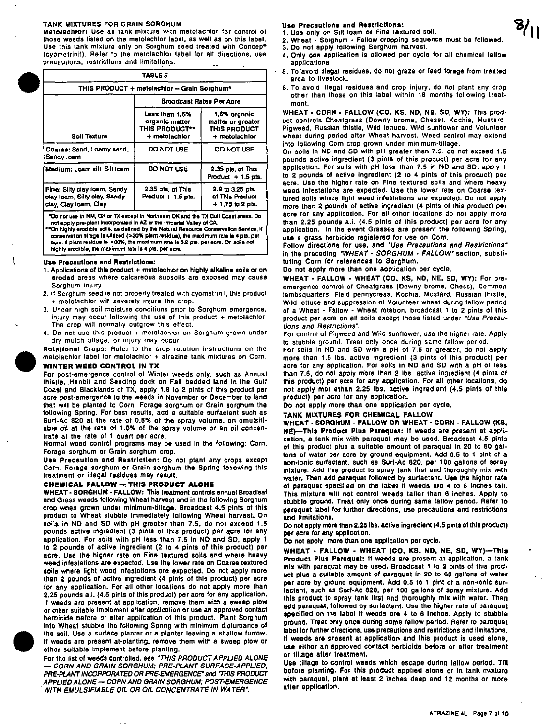#### TANK MIXTURES FOR GRAIN SORGHUM

Metolachlor: Use as tank mixture with metolachlor for control of those weeds listed on the metolachlor label, as well as on this label. Use this tank mixture only on Sorghum seed treated with Concep\* (cyometrinii). Refer to the metolachlor label for all directions, use precautions, restrictions and limitations.  $\sim$   $\sim$ 

|                                                                                   | TABLE 5                                                                    |                                                                    |  |
|-----------------------------------------------------------------------------------|----------------------------------------------------------------------------|--------------------------------------------------------------------|--|
|                                                                                   | THIS PRODUCT + metolachior - Grain Sorghum*                                |                                                                    |  |
|                                                                                   | Broadcast Rates Per Acre                                                   |                                                                    |  |
| Soil Texture                                                                      | Leas than 1.5%<br>organic matter<br><b>THIS PRODUCT**</b><br>+ metolachtor | 1.5% organic<br>matter or greater<br>THIS PRODUCT<br>+ metolachior |  |
| Coarse: Sand, Loamy sand,<br>Sandy loam                                           | DO NOT USE                                                                 | DO NOT USE                                                         |  |
| Medium: Loam silt, Silt Ioam                                                      | DO NOT USE                                                                 | 2.35 pts, of This<br>Product $+1.5$ pts.                           |  |
| Fine: Silty clay loam, Sandy<br>day loam, Silty day, Sandy<br>day Clay loam, Clay | 2.35 pts, of This<br>Product $+1.5$ pts.                                   | 2.9 to 3.25 pts.<br>of This Product<br>$+1.75$ to 2 pts.           |  |

\*Do not use in NM, OK or TX except in Northeast OK and the TX Gulf Coast areas. Do not apply pre-plant incorporated in AZ or the imperial Valley of CA.

"On highly erodible solls, as defined by the Natural Resource Conservation Service, if<br>conservation tillage is utilized (>30% plant residue), the maximum rate is 4 pts. per acre. If plant residue is <30%, the maximum rate is 3.2 pts. per acre. On solia not highly erodible, the maximum rate is 4 pts. per acre.

#### **Use Precautions and Restrictions:**

- 1. Applications of this product + metolachior on highly alkaline soils or on eroded areas where calcareous subsoils are exposed may cause Sorahum iniurv.
- 2. If Sorghum seed is not properly treated with cyometrinil, this product + metolachlor will severely injure the crop.
- 3. Under high soil moisture conditions prior to Sorghum emergence, injury may occur following the use of this product + metolachlor. The crop will normally outgrow this effect.
- 4. Do not use this product + metolachlor on Sorghum grown under dry mulch tillage, or injury may occur.

Rotational Crops: Refer to the crop rotation instructions on the metolachlor label for metolachlor + atrazine tank mixtures on Corn.

### **WINTER WEED CONTROL IN TX**

For post-emergence control of Winter weeds only, such as Annual thistle, Henbit and Seeding dock on Fall bedded land in the Gulf Coast and Blacklands of TX, apply 1.6 to 2 pints of this product per acre post-emergence to the weeds in November or December to land that will be planted to Corn, Forage sorghum or Grain sorghum the following Spring. For best results, add a suitable surfactant such as Surf-Ac 820 at the rate of 0.5% of the spray volume, an emulsifiable oil at the rate of 1.0% of the spray volume or an oil concentrate at the rate of 1 quart per acre.

Normal weed control programs may be used in the following: Corn, Forage sorghum or Grain sorghum crop.

Use Precaution and Restriction: Do not plant any crops except Corn, Forage sorghum or Grain sorghum the Spring following this treatment or illegal residues may result.

### CHEMICAL FALLOW - THIS PRODUCT ALONE

WHEAT - SORGHUM - FALLOW: This treatment controls annual Broadleaf and Grass weeds following Wheat harvest and in the following Sorghum crop when grown under minimum-tillage. Broadcast 4.5 pints of this product to Wheat stubble immediately following Wheat harvest. On soils in ND and SD with pH greater than 7.5, do not exceed 1.5 pounds active ingredient (3 pints of this product) per acre for any application. For soils with pH less than 7.5 in ND and SD, apply 1 to 2 pounds of active ingredient (2 to 4 pints of this product) per acre. Use the higher rate on Fine textured solls and where heavy weed infestations are expected. Use the lower rate on Coarse textured soils where light weed infestations are expected. Do not apply more than 2 pounds of active ingredient (4 pints of this product) per acre for any application. For all other locations do not apply more than 2.25 pounds a.i. (4.5 pints of this product) per acre for any application. If weeds are present at application, remove them with a sweep plow or other suitable implement after application or use an approved contact herbicide before or after application of this product. Plant Sorghum into Wheat stubble the following Spring with minimum disturbance of the soil. Use a surface planter or a planter leaving a shallow furrow. If weeds are present at-planting, remove them with a sweep plow or other suitable implement before planting.

For the list of weeds controlled, see "THIS PRODUCT APPLIED ALONE - CORN AND GRAIN SORGHUM; PRE-PLANT SURFACE-APPLIED, PRE-PLANT INCORPORATED OR PRE-EMERGENCE" and "THIS PRODUCT APPLIED ALONE - CORN AND GRAIN SORGHUM: POST-EMERGENCE WITH EMULSIFIABLE OIL OR OIL CONCENTRATE IN WATER".

Use Precautions and Restrictions:

- 1. Use only on Silt loam or Fine textured soil. 2. Wheat - Sorghum - Fallow cropping sequence must be followed.
- 3. Do not apply following Sorghum harvest.
- 4. Only one application is allowed per cycle for all chemical fallow applications.
- 5. To avoid illegal residues, do not graze or feed forage from treated area to livestock.
	- 6. To avoid illegal residues and crop injury, do not plant any crop other than those on this label within 18 months following treatmant.

WHEAT - CORN - FALLOW (CO, KS, ND, NE, SD, WY): This product controls Cheatgrass (Downy brome, Chess), Kochia, Mustard, Pigweed, Russian thistle, Wild lettuce, Wild sunflower and Volunteer wheat during period after Wheat harvest. Weed control may extend into following Corn crop grown under minimum-tillage.

On soils in ND and SD with pH greater than 7.5, do not exceed 1.5 pounds active ingredient (3 pints of this product) per acre for any application. For soils with pH less than 7.5 in ND and SD, apply 1 to 2 pounds of active ingredient (2 to 4 pints of this product) per acre. Use the higher rate on Fine textured soils and where heavy weed infestations are expected. Use the lower rate on Coarse textured soils where light weed infestations are expected. Do not apply more than 2 pounds of active ingredient (4 pints of this product) per acre for any application. For all other locations do not apply more than 2.25 pounds a.i. (4.5 pints of this product) per acre for any application. In the event Grasses are present the following Spring, use a grass herbicide registered for use on Corn.

Follow directions for use, and "Use Precautions and Restrictions" in the preceding "WHEAT - SORGHUM - FALLOW" section, substituting Corn for references to Sorghum.

Do not apply more than one application per cycle.

WHEAT - FALLOW - WHEAT (CO, KS, ND, NE, SD, WY): For preemergence control of Cheatgrass (Downy brome, Chess), Common lambsquarters, Field pennycress, Kochia, Mustard, Russian thistle, Wild lettuce and suppression of Volunteer wheat during fallow period of a Wheat - Fallow - Wheat rotation, broadcast 1 to 2 pints of this product per acre on all soils except those listed under "Use Precautions and Restrictions".

For control of Pigweed and Wild sunflower, use the higher rate. Apply to stubble ground. Treat only once during same fallow period.

For soils in ND and SD with a pH of 7.5 or greater, do not apply more than 1.5 lbs. active ingredient (3 pints of this product) per acre for any application. For soils in ND and SD with a pH of less than 7.5, do not apply more than 2 lbs. active ingredient (4 pints of this product) per acre for any application. For all other locations, do not apply mor ethan 2.25 lbs. active ingredient (4.5 pints of this product) per acre for any application.

Do not apply more than one application per cycle,

### TANK MIXTURES FOR CHEMICAL FALLOW

WHEAT - SORGHUM - FALLOW OR WHEAT - CORN - FALLOW (KS, NE)-This Product Plus Paraquat: If weeds are present at application, a tank mix with paraquat may be used. Broadcast 4.5 pints of this product plus a suitable amount of paraquat in 20 to 60 gallons of water per acre by ground equipment. Add 0.5 to 1 pint of a non-ionic surfactant, such as Surf-Ac 820, per 100 gallons of spray mixture. Add this product to spray tank first and thoroughly mix with water. Then add paraquat followed by surfactant. Use the higher rate of paraquat specified on the label if weeds are 4 to 6 inches tall. This mixture will not control weeds taller than 6 inches. Apply to stubble ground. Treat only once during same failow period. Refer to paraquat label for further directions, use precautions and restrictions and limitations.

Do not apply more than 2.25 ibs. active ingredient (4.5 pints of this product) per acre for any application.

Do not apply more than one application per cycle.

WHEAT - FALLOW - WHEAT (CO, KS, ND, NE, SD, WY)-This Product Plus Paraquat: If weeds are present at application, a tank mix with paraquat may be used. Broadcast 1 to 2 pints of this product plus a suitable amount of paraquat in 20 to 60 gallons of water per acre by ground equipment. Add 0.5 to 1 pint of a non-ionic surfactant, such as Surf-Ac 820, per 100 gallons of spray mixture. Add this product to spray tank first and thoroughly mix with water. Then add paraquat, followed by surfactant. Use the higher rate of paraquat specified on the label if weeds are 4 to 6 inches. Apply to stubble ground. Treat only once during same fallow period. Refer to paraquat label for further directions, use precautions and restrictions and limitations. If weeds are present at application and this product is used alone, use either an approved contact herbicide before or after treatment or tillage after treatment.

Use tillage to control weeds which escape during fallow period. Till before planting. For this product applied alone or in tank mixture with paraquat, plant at least 2 inches deep and 12 months or more after application.



f.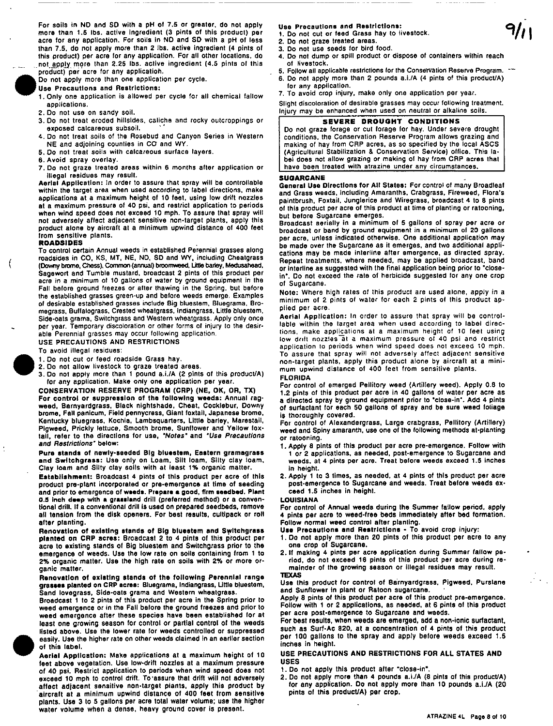For soils in NO and SO with a pH ot 7,5 or greater, do not apply more than 1.5 lbs. active ingredient (3 pints of this product) per acre for any application. For soils in NO and SO with a pH of less than 7.5, do nol apply more than 2 ibs. active Ingredient (4 pints of this product) per acre for any application. For all other locations, do .not apply more than 2.25 Ibs. active ingredient (4.5 pints of this product) per acre for any application.



- Use Precautions and Restrictions:
- 1. Only one application is allowed per cycle for all chemical fallow applications.
- 2. Do not use on sandy soil.
- 3. Do not treat eroded hillsides. caliche and rocky outcroppings or exposed calcareous subsoil.
- 4. Do not treat soils of the Rosebud and Canyon Series in Western NE and adjoining counties in CO and WY.
- 5,00 not treat soils with calcareous surface layers.
- 6. Avoid spray overlay.
- 7. Do not graze treated areas within 6 months after application or Illegal residues may resul!.

Aerlal Application: In order to assure that spray will be controllable within the target area when used according to label directions. make applications at a maximum height of 10 feet. using low drift nozzles at a maximum pressure of 40 psi. and restrict application to periods when wind speed does not exceed 10 mph. To assure that spray will not adversely affect adjacent sensitive non-target plants. apply this product alone by aircraft at a minimum upwind distance of 400 feet Irom sensitive plants.

#### ROADSIDES

 $\mathfrak{g}$ 

To control certain Annual weeds in established Perennial grasses along roadsides in CO, KS, MT, NE, ND, SD and WY, including Cheatgrass<br>(Downy brome, Chess), Common (annual) broomweed, Little barley, Medusahead, Sage wort and Tumble mustard. broadcast 2 pints 01 this product per acre in a minimum of 10 gallons of water by ground equipment in the Fall before ground freezes or after thawing in the Spring. but before the established grasses green-up and before weeds emerge. Examples 01 desirable established grasses include Big blueslem. Bluegrama. Bramegrass. Buffalograss. Crested whealgrass. Indiangrass. Litlle bluestem. Side·oats grama. Switchgrass and Western wheatgrass. Apply only once per year. Temporary discoloration or other forms of injury to the desirable Perennial grasses may occur following application.

USE PRECAUTIONS AND RESTRICTIONS

To avoid illegal residues:

- 1,00 not cut or feed roadside Grass hay.
- 2.00 not allow livestock to graze treated areas.
- $\bullet$ <sup>1</sup> 3. Do not apply more than 1 pound a.i./A (2 pints of this product/A) for any applicalion. Make only one application per year.

CONSERVATION RESERVE PROGRAM (CRP) (NE, OK, OR, TX) For control or suppression of the following weeds: Annual ragweed. Barnyardgrass. Black nightshade. Cheat. Cocklebur. Downy brome, Fall panicum, Field pennycress, Giant foxtail, Japanese brome. Kentucky bluegrass. Kochia. Lambsquarters, Little barley, Marestail, Pigweed. Prickly lettuce. Smooth brome. Sunllower and Yellow fox· tail, refer to the directions for use, "Notes" and "Use Precautions and Restrictions' below:

Pure stands of newly-seeded Big bluestem, Eastern gramagrass and Switchgrass: Use only on Loam, Silt loam, Silty clay loam, Clay loam and Silty clay solis with at least 1% organic matter.

Establishment: Broadcast 4 pints 01 this product per acre of this product pre-plant incorporated or pre-emergence at time 01 seeding and prior to emergence of weeds. Prepare a good, firm seedbed. Plant 0.5 inch deep with a grassland drill (preferred method) or a conventional drill. If a conventional drill is used on prepared seedbeds, remove all tension from the disk openers. For best results, cultipack or roll after planting.

aner planting.<br>Renovation of existing stands of Big bluestem and Switchgrass<br>planted on CRP acres: Broadcast 2 to 4 pints of this product per acra to existing stands 01 Big bluestem and Swltchgrass prior to the emergence 01 weeds. Use the low rate on soils containing from 1 to 2% organic matter. Use the high rate on soils with 2% or more organic matter.

#### Renovation of existing stands of the following Perennial range grasses planted on CRP acres: Bluegrama, Indiangrass, Little bluestem, Sand lovegrass. Side-oats grama and Western wheatgrass.

 $\bullet$ Broadcast 1 to 2 pints of this product per acre in the Spring prior to weed emergence or in the Fall before the ground freezes and prior to weed emergence after these species have been established lor at least one growing season for control or partial control of the weeds listed above. Use the lower rate for weeds controlled or suppressed easily. Use the higher rate on other weeds claimed in an eariler section of this label.

### Aerial Application: Make applications at a maximum height 01 10 feet above vegetation. Use low·drift nOzzles at a maximum pressure of 40 psi. Restrict application to periods when wind speed does not exceed 10 mph to control drift. To'assure that drift will not adversely affect adjacent sensitive non-target plants. apply this product by aircraft at a minimum upwind distance of 400 feet from sensitive

plants. Use 3 to 5 gallons per acre total water volume; use the higher water volume when a dense. heavy ground cover is present.

#### Use Precautions and Restrictions:

- 1. Do not cut or feed Grass hay to livestock.
- 2. Do not graze treated areas. 3. 00 not use seeds for bird food.
- 4. Do not dump or spill product or dispose of containers within reach of livestock.
- 5. Follow all applicable restrictions for the Conservation Reserve Program. \*\*\*
- 6. 00 not apply more than 2 pounds a.i.lA (4 pints of this producUA) for any application.
- 7. To avoid crop injury, make only one application per year.

Slight discoloration of desirable grasses may occur following treatment. Injury may be enhanced when used on neutral or alkaline soils.

### SEVERE DROUGHT CONDITIONS

Do not graze forage or cut forage for hay. Under severe drought conditions. the Conservation Reserve Program allows grazing and making of hay from CRP acres. as so specified by the local ASCS (Agricultural Siabilization & Conservation Service) ollice. This la· bel does not allow grazing or making 01 hay from CRP acres that have been treated with atrazine under any circumstances,

#### **SUGARCANE**

Generel Use Directions for All States: For control of many Broadleaf and Grass weeds. including Amaranths. Crabgrass. Fireweed. Flora's paintbrush. Foxtail. Junglerice and Wiregrass. broadcast 4 to 8 pints of this product per acre of this product at time of planting or ratooning, but before Sugarcane emerges.

Broadcast aerially in a minimum of 5 gallons of spray per acre or broadcast or band by ground equipment in a minimum of 20 gallons per acre. unless indicated otherwise. One additional application may be made over the Sugarcane as it emerges. and two additional appli· cations may be made interline after emergence. as directed spray. Repeat treatments. where needed. may be applied broadcast. band or interline as suggested with the final application being prior to "closein". Do not exceed the rate of herbicide suggested lor anyone crop of Sugarcane.

Note: Where high rates 01 this product are used alone, apply in a minimum 01 2 pints 01 waler for each 2 pints 01 this product ap· plied per acre.

Aerial Application: In order to assure that spray will be controllable within the target area when used according to label directions, make applications al a maximum height of 10 feet using low drift nozzles at a maximum pressure of 40 psi and restrict application to periods when wind speed does not exceed 10 mph. To assure that spray will not adversely affect adjacent sensitive non-target plants, apply this product alone by aircraft at a minimum upwind distance of 400 feet Irom sensitive plants. FLORIDA

For control of emerged Peilitory weed (Artillery weed). Apply 0.8 to 1.2 pints of this product per acre in 40 gallons of water per acre as a directed spray by ground equipment prior to "close-in". Add 4 pints of surfactant for each 50 gallons 01 spray and be sure weed loliage is thoroughly covered.

For control of Alexandergrass. Large crabgrass. Pellitory (Artillery) weed and Spiny amaranth. use one of the following methods at'planting or ratooning.

- 1. Apply 8 pints of this product per acre pre-emergence. Follow with 1 or 2 applications. as needed. post-emergence to Sugarcane and weeds. at 4 pints per acre. Treat before weeds exceed 1.5 inches in height.
- 2. Apply 1 to 3 times. as needed. at 4 pints of this product per acre post-emergence to Sugarcane and weeds. Treat before weeds exceed 1.5 inches in height.

#### LOUISIANA

For control of Annual weeds during the Summer fallow period. apply 4 pints per acre to weed·free beds immediately after bed formation. Follow normal weed control alter planting.

Use Precautions and Restrictions - To avoid crop injury:

- 1. 00 not apply more than 20 pints of this product per acre to any one crop 01 Sugarcane.
- 2.11 making 4 pints per acre application during Summer failow period. do not exceed 16 pints of this product per acre during remainder 01 the growing season or illegal residues may result.

#### **TEXAS**

Use this product for control of Barnyardgrass, Pigweed, Purslane and Sunflower in plant or Ratoon sugarcane.

Apply B pints of this product per acre 01 this product pre-emergence. Follow with 1 or 2 applications, as needed. at 6 pints of this product per acre post-emergence to Sugarcane and weeds,

For best results, when weeds are emerged, add a non-ionic surfactant, such as Surf·Ac 820. at a concentration of 4 pints of this product per 100 gallons to the spray and apply belore weeds exceed 1.5 inches in height.

#### USE PRECAUTIONS AND RESTRICTIONS FOR ALL STATES AND USES

- 1. Do not apply this product after "close-in",
- 2. Do not apply more than 4 pounds a,i./A (8 pints of this product/A) for any application. 00 not apply more than 10 pounds a.i.IA (20 pints of this product/A) per crop.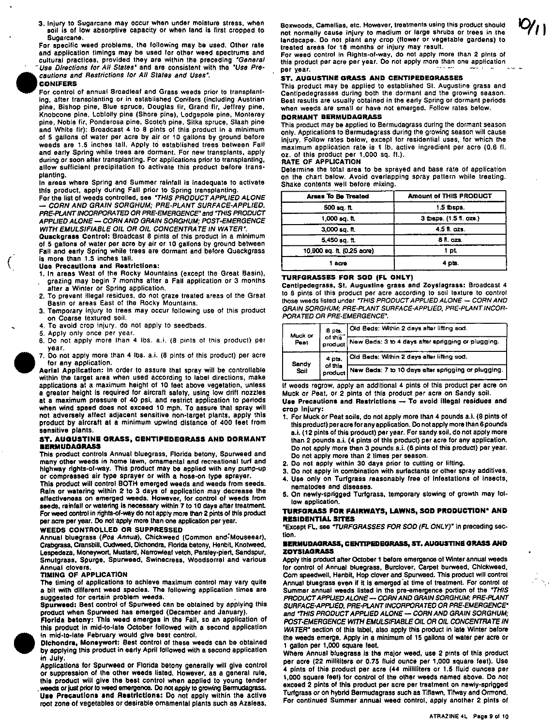3. Injury to Sugarcane may occur when under moisture stress, when soil is of low absorptive capacity or when land is first cropped to Sugarcane.

For specific weed problems, the following may be used. Other rata and application timings may be used lor other weed spectrums and cultural practices, provided they are within the preceding "General Use Directions for All States<sup>\*</sup> and are consistent with the *"Use Pre-*<br>cautions and Restrictions for All States and Uses".

### CONIFERS

(

Euse Directions for All States' and are consistent with<br>Cautions and Restrictions for All States and Uses',<br>CONIFERS<br>For control of annual Broadleaf and Grass weeds pri<br>ing, after transplanting or in established Conifers ( For control at annual Sreadleaf and Grass weeds prior to transplant· ing. after transplanting or in established Conifers (including Austrian pine, Bishop pine. Blue spruce, Douglas fir, Grand fir, Jeffrey pine. Knobcone pine, Loblolly pine (Shore pine), Lodgepole pine. Monterey pine, Noble fir, Ponderosa pine, Scotch pine, Sitka spruce, Slash pine. and White fir): Broadcast 4 to 8 pints of this product in a minimum of 5 gallons of water per acre by air or 10 gallons by ground before weeds are 1.5 inches tall. Apply to established trees between Fall and early Spring while trees are dormant. For new transplants, apply during or soon after transplanting. For applications prior to transplanting. allow sufficient precipitation to activate this product before transplanting.

In areas where Spring and Summer rainfall is inadequate to activate this product, apply during Fall prior to Spring transplanting.

For the list of weeds controlled, see "THIS PRODUCT APPLIED ALONE" - CORN AND GRAIN SORGHUM; PRE·PLANT SURFACE·APPLlEO, PRE·PLANT INCORPORA TED OR PRE·EMERGENCE' and 'THIS PRODUCT APPLIED ALONE - CORN AND GRAIN SORGHUM: POST-EMERGENCE WITH EMULSIFIABLE OIL OR OIL CONCENTRATE IN WATER\*

Quackgrasa Control: Broadcast 8 pints of this product in a minimum of 5 gallons of water per acre by air or 10 gallons by ground between Fall and early Spring while trees are dormant and before Quackgrass is more than 1.5 inches tall.

### Usa Precautions and Restrictions:

- 1. In areas West of the Rocky Mountains (except the Great Basin), grazing may begin 7 months after a Fall application or 3 months alter a Winter or Spring application.
- 2. To prevent illegal residues. do not graze treated areas of the Great Basin or areas East of the Rocky Mountains.
- 3. Temporary injury to trees may occur following use of this product on Coarse textured soil.
- 4. To avoid crop injury, do not apply to seedbeds.
- 5. Apply only once per year.
- 6. Do not apply more than 4 ibs. a.i. (8 pints of this product) per year.
- 7. Do not apply more than 4 lbs. a.i. (8 pints of this product) per acre for any application.

Aerial Application: In order to assure that spray will be controllable within the target area when used according to label directions, make applications at a maximum height 01 10 feet above vegetation, unless a greater height is required for aircraft salety, using low drift nozzles at a maximum pressure of 40 psi, and restrict application to periods when wind speed does not exceed 10 mph. To assure that spray will not adversely allect adjacent sensitive non·target plants, apply this product by aircraft at a minimum upwind distance of 400 feet Irom sensitive plants.

#### ST, AUGUSTINE GRASS, CENTIPEOeGRASS ANO DORMANT **EERMUDAGRASS**

This product controls Annual bluegrass, Florida betony, Spurweed and many other weeds In home lawn, ornamental and recreational turf and highway rlghts·of·way. This product may be applied with any pump·up or compressed air type sprayer or with a hose·on type sprayer.

This product will control BOTH emerged weeds and weeds from seeds. Rain or watering within 2' to 3 days of application may decrease the effectiveness on emerged weeds. However, lor control of weeds from seeds, rainfall or watering is necessary within 7 to 10 days after treatment. For weed control in rights-of·way do not appty more than 2 pints of this product per acre per year. Do nol'appty more than one application per year.

#### WEEDS CONTROLLED OR SUPPRESSED

Annual bluegrass (Poa Annua), ChiCkweed (Common and:Mouseear), Crabgrass, Cransbill, Cudweed, Dichondra, Florida betony, Henbit, Knotweed, Lespedeza, Moneywort. Mustard. Narrowteaf vetch, Parsley·piert. 5andspur, Smutgrass. Spurge, Spurweed. Swinecress, Woodsorrel and various Annual clovers.

### TIMING OF APPUCATION

The timing of applications to achieve maximum control may vary quite a bit with different weed species. The following application times are suggested for certain problem weeds.

Spurweed: Best control of Spurweed can be obtained by applying this product when Spurweed has emerged (December and January).

florida betony: This weed emerges in the Fall, so an application of this product in mid·to·late October followed with a second application

From a bettery: This weed enterpers in the Fan,<br>this product in mid-to-late February would give best control.<br>In mid-to-late February would give best control.<br>Dichondra, Moneywort: Best control of these we<br>by applying this in mid-to-late February would give best control.<br>Dichondra, Moneywort: Best control of these weeds can be obtained by applying this product in early April followed with a second application in July.

Applications for Spurweed or Florida betony generally will give control or suppression of the other weeds listed. However, as a general rule, this product will give the best control when applied to young tender weeds or just prior to weed emergence. Do not apply to growing Bermudagrass. Use Precautions and Restrictions: Do not apply within the active root zone of vegetables or desirable omamental plants such as Azaleas. Boxwoods, Camellias. etc. However, treatments using this product should not normally cause injury to medium or large shrubs or trees in the landscape. 00 not plant any crop (flower or vegetable gardens) to treated areas for 18 months or injury may result.

For weed control in Rights-of·way. do nol apply more than 2 pints of this product per acre per year. Do not apply more than one application.<br>per year.

#### ST. AUGUSTINE GRASS AND CENTIPEDEGRASSES

This product may be applied to established 51. Augustine grass and Centipede grasses during both the dormant and the growing season. Best results are usually obtained in the early Spring or dormant periods when weeds are small or have not emerged. Follow rates below.

### DORMANT BERMUDAGRASS

This product may be applied to Bermudagrass during the dormant season only. Applications to Bermudagrass during the growing season will cause injury. Follow rates below, except for residential uses, for which the maximum application rate is 1 lb. active ingredient per acre (0.6 11. oz. of this product per 1,000 sq. fl.).

### RATE OF APPUCATION

Determine the total area to be sprayed and base rate of application on the chart below. Avoid overlapping spray pattern while treating. Shake contents well before mixing.

| <b>Areas To Be Treated</b> | <b>Amount of THIS PRODUCT</b> |  |
|----------------------------|-------------------------------|--|
| $500$ sq. ft.              | $1.5$ thens.                  |  |
| 1,000 sq. ft.              | 3 thens. (1.5 fl. ozs.)       |  |
| $3,000$ sq. ft.            | 4.5 fl. czs.                  |  |
| 5.450 sq. ft.              | 8 fl. ozs.                    |  |
| 10,900 sq. ft. (0.25 acre) | 1 pt                          |  |
| 1 acre                     | 4 pts.                        |  |

#### TURFGRASSES FOR SOO (FL ONLY)

Centlpedegrass. St. Augustine grass and Zoyslagrass: Broadcast 4 to 8 pints of this product per acre according to soli texture to control those weeds listed under "THIS PRODUCT APPLIED ALONE - CORN AND GRAIN SORGHUM; PRE-PLANT SURFACE-APPLIED, PRE-PLANT INCOR-PORA TED OR PRE·EMERGENCE',

| Muck or                                       | $8$ pts.                                            | Old Beds: Within 2 days after lifting sod.         |
|-----------------------------------------------|-----------------------------------------------------|----------------------------------------------------|
| of this<br>Peat<br>product                    |                                                     | New Beds: 3 to 4 days after sprigging or plugging. |
| 4 pts.<br>Sandy<br>of this<br>Soil<br>product | Old Beds: Within 2 days after lifting sod.          |                                                    |
|                                               | New Beds: 7 to 10 days after sprigging or plugging. |                                                    |

If weeds regrow, apply an additional 4 pints of Ihls product per acre on Muck or Peat, or 2 pints at this product per acre on Sandy soil. Use Precautions and Restrictions - To avoid illegal residues and crop injury:

- 1. For Muck or Peat soils, do not apply more than 4 pounds a.i. (8 pints of this product) per acre for any application. 00 not apply more than 6 pounds a.i. (12 pints of this product) per year. For sandy SOil. do not apply more than 2 pounds a.i. (4 pints of this product) per acre for any application. Do not apply more than 3 pounds a.i. (6 pints of this product) per year. Do not apply more than 2 times per season.
- 2. Do not apply within 30 days prior to cutting or lifting.
- 3. Do not apply in combination with surfactants or other spray additives.
- 4. Use only on Turfgrass reasonably free of infestations of insects, nematodes and diseases.
- 5. On newly· sprigged Turfgrass. temporary slowing of growth may fol· low application.

#### TURFGRASS FOR FAIRWAYS, LAWNS, SOD PRODUCTION\* AND RESIDENTIAL SITES

"Except FL, see "TURFGRASSES FOR SOD (FL ONLY)" in preceding section.

#### **BERMUDAGRASS, CENTIPEDEGRASS, ST. AUGUSTINE GRASS AND** ZOYSIAGRASS

Apply this product after OCtober 1 betore emergence of Winter annual weeds tor control of Annual bluegrass. Burclover. carpet burweed. Chickweed, Com speedwell, Henbit. Hop clover and Spurweed. This product will control Annual bluegrass even if it is emerged 'at time of treatment. For control <sup>0</sup>' Summer annual weeds listed in the pre-emergence portion of the "THIS PRODUCT APPLIED ALONE - CORN AND GRAIN SORGHUM; PRE-PLANT SURFACE·APPlIED. PRE·PLANT INCORPORA TEO DR PRE·EMERGENCE' and 'THIS PRODUCT APPLIED ALONE - CORN AND GRAIN SORGHUM; POST-EMERGENCE WITH EMULSIFIABLE OIL OR OIL CONCENTRATE IN WATER" section of this label, also apply this product in late Winter before the weeds emerge. Apply in a minimum 01 15 gallons of water per acre Or 1 gallon per 1,000 square leet.

Where Annual bluegrass is the major weed, use 2 pints of this product per acre (22 milliliters or 0.75 fluid ounce per 1,000 square feet). Use 4 pints of this Product per acre (44 milliliters or 1.5 fluid ounces per 1.000 square feet) lor control of the other weeds named above. 00 not exceed 2 pints of this product per acre per treatment on newly·sprigged Turforass or on hybrid Bermudagrass such as Tiflawn, Tifway and Ormond. For continued Summer annual weed control, apply another 2 pints of